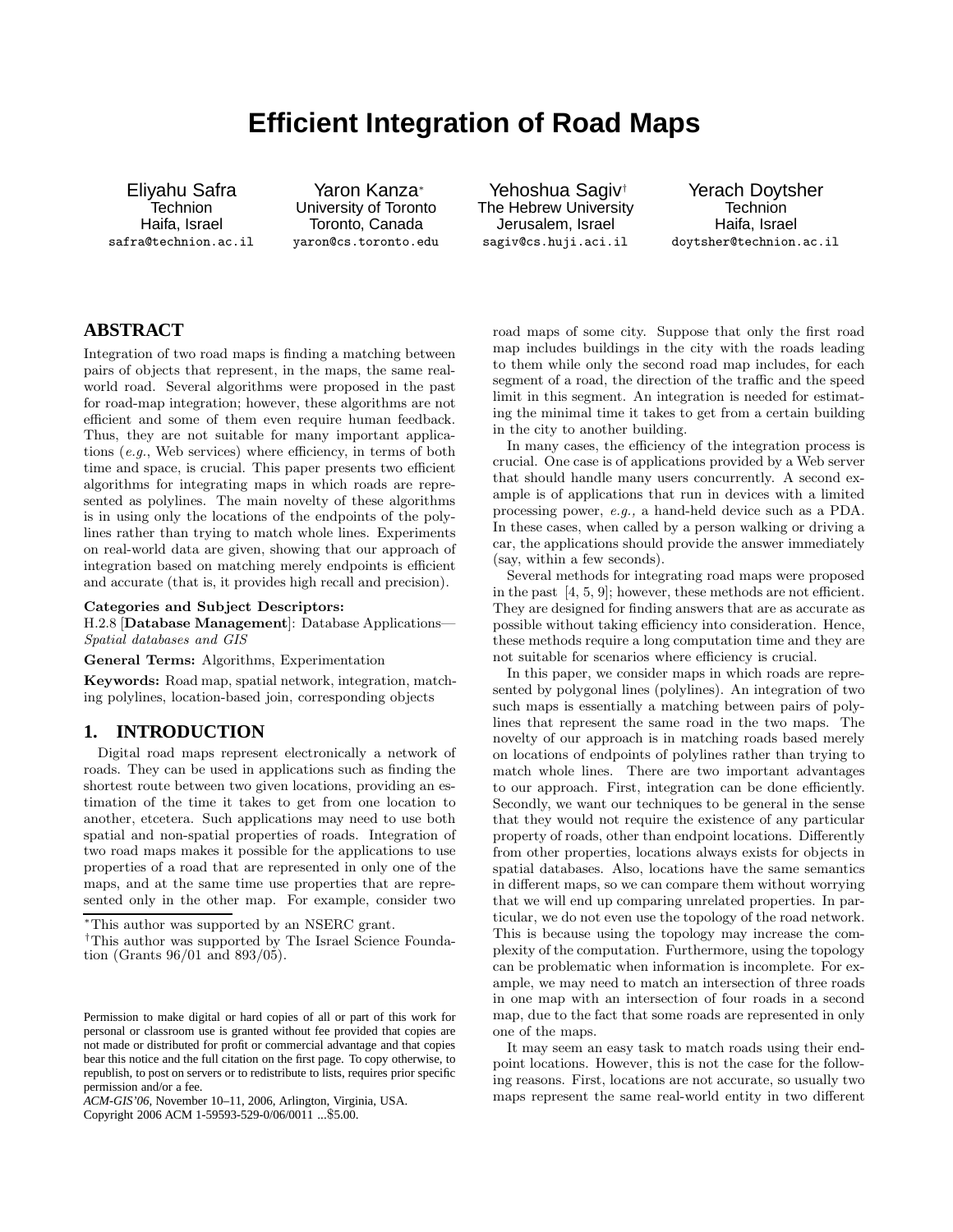# **Efficient Integration of Road Maps**

Eliyahu Safra Technion Haifa, Israel safra@technion.ac.il

Yaron Kanza<sup>∗</sup> University of Toronto Toronto, Canada yaron@cs.toronto.edu

Yehoshua Sagiv† The Hebrew University Jerusalem, Israel sagiv@cs.huji.aci.il

Yerach Doytsher **Technion** Haifa, Israel doytsher@technion.ac.il

# **ABSTRACT**

Integration of two road maps is finding a matching between pairs of objects that represent, in the maps, the same realworld road. Several algorithms were proposed in the past for road-map integration; however, these algorithms are not efficient and some of them even require human feedback. Thus, they are not suitable for many important applications (e.g., Web services) where efficiency, in terms of both time and space, is crucial. This paper presents two efficient algorithms for integrating maps in which roads are represented as polylines. The main novelty of these algorithms is in using only the locations of the endpoints of the polylines rather than trying to match whole lines. Experiments on real-world data are given, showing that our approach of integration based on matching merely endpoints is efficient and accurate (that is, it provides high recall and precision).

#### Categories and Subject Descriptors:

H.2.8 [Database Management]: Database Applications— Spatial databases and GIS

General Terms: Algorithms, Experimentation

Keywords: Road map, spatial network, integration, matching polylines, location-based join, corresponding objects

## **1. INTRODUCTION**

Digital road maps represent electronically a network of roads. They can be used in applications such as finding the shortest route between two given locations, providing an estimation of the time it takes to get from one location to another, etcetera. Such applications may need to use both spatial and non-spatial properties of roads. Integration of two road maps makes it possible for the applications to use properties of a road that are represented in only one of the maps, and at the same time use properties that are represented only in the other map. For example, consider two

Copyright 2006 ACM 1-59593-529-0/06/0011 ...\$5.00.

road maps of some city. Suppose that only the first road map includes buildings in the city with the roads leading to them while only the second road map includes, for each segment of a road, the direction of the traffic and the speed limit in this segment. An integration is needed for estimating the minimal time it takes to get from a certain building in the city to another building.

In many cases, the efficiency of the integration process is crucial. One case is of applications provided by a Web server that should handle many users concurrently. A second example is of applications that run in devices with a limited processing power, e.g., a hand-held device such as a PDA. In these cases, when called by a person walking or driving a car, the applications should provide the answer immediately (say, within a few seconds).

Several methods for integrating road maps were proposed in the past [4, 5, 9]; however, these methods are not efficient. They are designed for finding answers that are as accurate as possible without taking efficiency into consideration. Hence, these methods require a long computation time and they are not suitable for scenarios where efficiency is crucial.

In this paper, we consider maps in which roads are represented by polygonal lines (polylines). An integration of two such maps is essentially a matching between pairs of polylines that represent the same road in the two maps. The novelty of our approach is in matching roads based merely on locations of endpoints of polylines rather than trying to match whole lines. There are two important advantages to our approach. First, integration can be done efficiently. Secondly, we want our techniques to be general in the sense that they would not require the existence of any particular property of roads, other than endpoint locations. Differently from other properties, locations always exists for objects in spatial databases. Also, locations have the same semantics in different maps, so we can compare them without worrying that we will end up comparing unrelated properties. In particular, we do not even use the topology of the road network. This is because using the topology may increase the complexity of the computation. Furthermore, using the topology can be problematic when information is incomplete. For example, we may need to match an intersection of three roads in one map with an intersection of four roads in a second map, due to the fact that some roads are represented in only one of the maps.

It may seem an easy task to match roads using their endpoint locations. However, this is not the case for the following reasons. First, locations are not accurate, so usually two maps represent the same real-world entity in two different

<sup>∗</sup>This author was supported by an NSERC grant.

<sup>†</sup>This author was supported by The Israel Science Foundation (Grants 96/01 and 893/05).

Permission to make digital or hard copies of all or part of this work for personal or classroom use is granted without fee provided that copies are not made or distributed for profit or commercial advantage and that copies bear this notice and the full citation on the first page. To copy otherwise, to republish, to post on servers or to redistribute to lists, requires prior specific permission and/or a fee.

*ACM-GIS'06,* November 10–11, 2006, Arlington, Virginia, USA.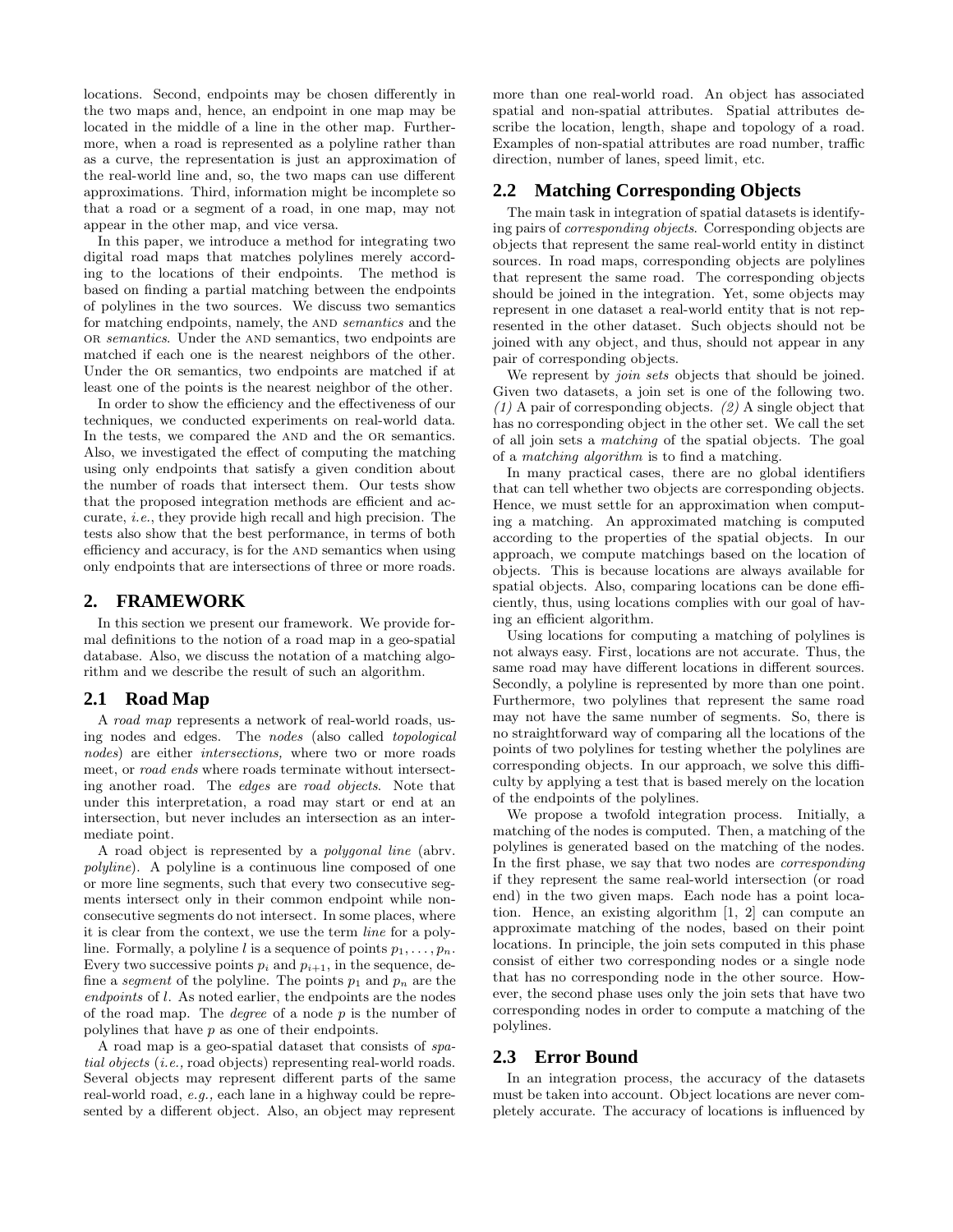locations. Second, endpoints may be chosen differently in the two maps and, hence, an endpoint in one map may be located in the middle of a line in the other map. Furthermore, when a road is represented as a polyline rather than as a curve, the representation is just an approximation of the real-world line and, so, the two maps can use different approximations. Third, information might be incomplete so that a road or a segment of a road, in one map, may not appear in the other map, and vice versa.

In this paper, we introduce a method for integrating two digital road maps that matches polylines merely according to the locations of their endpoints. The method is based on finding a partial matching between the endpoints of polylines in the two sources. We discuss two semantics for matching endpoints, namely, the AND semantics and the or semantics. Under the and semantics, two endpoints are matched if each one is the nearest neighbors of the other. Under the OR semantics, two endpoints are matched if at least one of the points is the nearest neighbor of the other.

In order to show the efficiency and the effectiveness of our techniques, we conducted experiments on real-world data. In the tests, we compared the AND and the OR semantics. Also, we investigated the effect of computing the matching using only endpoints that satisfy a given condition about the number of roads that intersect them. Our tests show that the proposed integration methods are efficient and accurate, i.e., they provide high recall and high precision. The tests also show that the best performance, in terms of both efficiency and accuracy, is for the AND semantics when using only endpoints that are intersections of three or more roads.

## **2. FRAMEWORK**

In this section we present our framework. We provide formal definitions to the notion of a road map in a geo-spatial database. Also, we discuss the notation of a matching algorithm and we describe the result of such an algorithm.

## **2.1 Road Map**

A road map represents a network of real-world roads, using nodes and edges. The nodes (also called topological nodes) are either intersections, where two or more roads meet, or road ends where roads terminate without intersecting another road. The edges are road objects. Note that under this interpretation, a road may start or end at an intersection, but never includes an intersection as an intermediate point.

A road object is represented by a polygonal line (abrv. polyline). A polyline is a continuous line composed of one or more line segments, such that every two consecutive segments intersect only in their common endpoint while nonconsecutive segments do not intersect. In some places, where it is clear from the context, we use the term line for a polyline. Formally, a polyline l is a sequence of points  $p_1, \ldots, p_n$ . Every two successive points  $p_i$  and  $p_{i+1}$ , in the sequence, define a *seqment* of the polyline. The points  $p_1$  and  $p_n$  are the endpoints of l. As noted earlier, the endpoints are the nodes of the road map. The *degree* of a node  $p$  is the number of polylines that have p as one of their endpoints.

A road map is a geo-spatial dataset that consists of spatial objects (i.e., road objects) representing real-world roads. Several objects may represent different parts of the same real-world road, e.g., each lane in a highway could be represented by a different object. Also, an object may represent more than one real-world road. An object has associated spatial and non-spatial attributes. Spatial attributes describe the location, length, shape and topology of a road. Examples of non-spatial attributes are road number, traffic direction, number of lanes, speed limit, etc.

## **2.2 Matching Corresponding Objects**

The main task in integration of spatial datasets is identifying pairs of corresponding objects. Corresponding objects are objects that represent the same real-world entity in distinct sources. In road maps, corresponding objects are polylines that represent the same road. The corresponding objects should be joined in the integration. Yet, some objects may represent in one dataset a real-world entity that is not represented in the other dataset. Such objects should not be joined with any object, and thus, should not appear in any pair of corresponding objects.

We represent by *join sets* objects that should be joined. Given two datasets, a join set is one of the following two. (1) A pair of corresponding objects. (2) A single object that has no corresponding object in the other set. We call the set of all join sets a matching of the spatial objects. The goal of a matching algorithm is to find a matching.

In many practical cases, there are no global identifiers that can tell whether two objects are corresponding objects. Hence, we must settle for an approximation when computing a matching. An approximated matching is computed according to the properties of the spatial objects. In our approach, we compute matchings based on the location of objects. This is because locations are always available for spatial objects. Also, comparing locations can be done efficiently, thus, using locations complies with our goal of having an efficient algorithm.

Using locations for computing a matching of polylines is not always easy. First, locations are not accurate. Thus, the same road may have different locations in different sources. Secondly, a polyline is represented by more than one point. Furthermore, two polylines that represent the same road may not have the same number of segments. So, there is no straightforward way of comparing all the locations of the points of two polylines for testing whether the polylines are corresponding objects. In our approach, we solve this difficulty by applying a test that is based merely on the location of the endpoints of the polylines.

We propose a twofold integration process. Initially, a matching of the nodes is computed. Then, a matching of the polylines is generated based on the matching of the nodes. In the first phase, we say that two nodes are corresponding if they represent the same real-world intersection (or road end) in the two given maps. Each node has a point location. Hence, an existing algorithm [1, 2] can compute an approximate matching of the nodes, based on their point locations. In principle, the join sets computed in this phase consist of either two corresponding nodes or a single node that has no corresponding node in the other source. However, the second phase uses only the join sets that have two corresponding nodes in order to compute a matching of the polylines.

## **2.3 Error Bound**

In an integration process, the accuracy of the datasets must be taken into account. Object locations are never completely accurate. The accuracy of locations is influenced by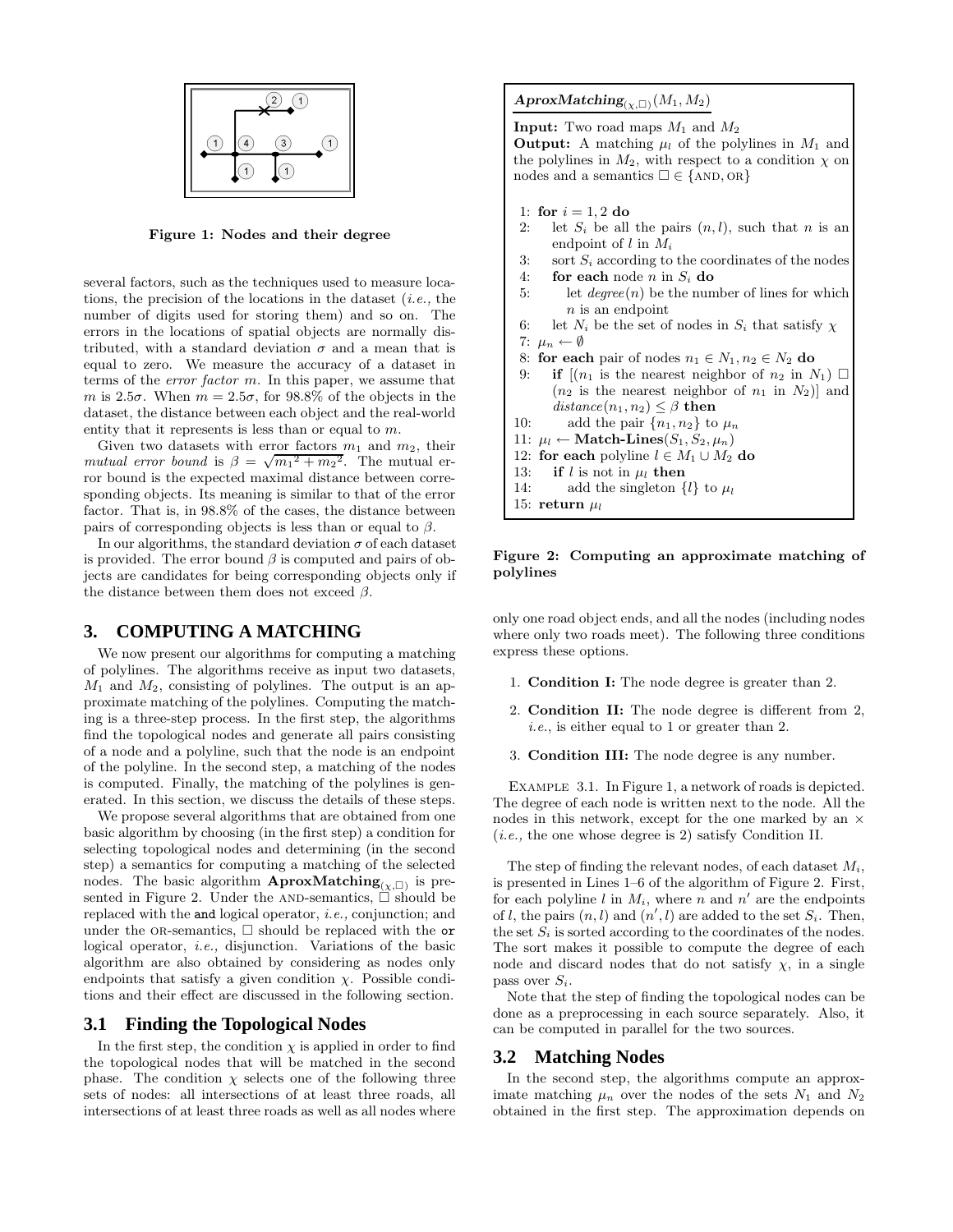

Figure 1: Nodes and their degree

several factors, such as the techniques used to measure locations, the precision of the locations in the dataset  $(i.e.,$  the number of digits used for storing them) and so on. The errors in the locations of spatial objects are normally distributed, with a standard deviation  $\sigma$  and a mean that is equal to zero. We measure the accuracy of a dataset in terms of the error factor m. In this paper, we assume that m is 2.5 $\sigma$ . When  $m = 2.5\sigma$ , for 98.8% of the objects in the dataset, the distance between each object and the real-world entity that it represents is less than or equal to m.

Given two datasets with error factors  $m_1$  and  $m_2$ , their mutual error bound is  $\beta = \sqrt{m_1^2 + m_2^2}$ . The mutual error bound is the expected maximal distance between corresponding objects. Its meaning is similar to that of the error factor. That is, in 98.8% of the cases, the distance between pairs of corresponding objects is less than or equal to  $\beta$ .

In our algorithms, the standard deviation  $\sigma$  of each dataset is provided. The error bound  $\beta$  is computed and pairs of objects are candidates for being corresponding objects only if the distance between them does not exceed  $\beta$ .

## **3. COMPUTING A MATCHING**

We now present our algorithms for computing a matching of polylines. The algorithms receive as input two datasets,  $M_1$  and  $M_2$ , consisting of polylines. The output is an approximate matching of the polylines. Computing the matching is a three-step process. In the first step, the algorithms find the topological nodes and generate all pairs consisting of a node and a polyline, such that the node is an endpoint of the polyline. In the second step, a matching of the nodes is computed. Finally, the matching of the polylines is generated. In this section, we discuss the details of these steps.

We propose several algorithms that are obtained from one basic algorithm by choosing (in the first step) a condition for selecting topological nodes and determining (in the second step) a semantics for computing a matching of the selected nodes. The basic algorithm  $\text{AproxMatching}_{(\chi,\Box)}$  is presented in Figure 2. Under the AND-semantics,  $\Box$  should be replaced with the and logical operator, i.e., conjunction; and under the OR-semantics,  $\Box$  should be replaced with the or logical operator, i.e., disjunction. Variations of the basic algorithm are also obtained by considering as nodes only endpoints that satisfy a given condition  $\chi$ . Possible conditions and their effect are discussed in the following section.

#### **3.1 Finding the Topological Nodes**

In the first step, the condition  $\chi$  is applied in order to find the topological nodes that will be matched in the second phase. The condition  $\chi$  selects one of the following three sets of nodes: all intersections of at least three roads, all intersections of at least three roads as well as all nodes where

#### $\mathbf{AproxMatching}_{(\chi, \Box)}(M_1, M_2)$

**Input:** Two road maps  $M_1$  and  $M_2$ **Output:** A matching  $\mu_l$  of the polylines in  $M_1$  and the polylines in  $M_2$ , with respect to a condition  $\chi$  on nodes and a semantics  $\square \in \{\text{AND}, \text{OR}\}\$ 

- 1: for  $i = 1, 2$  do
- 2: let  $S_i$  be all the pairs  $(n, l)$ , such that n is an endpoint of l in  $M_i$
- 3: sort  $S_i$  according to the coordinates of the nodes
- 4: for each node n in  $S_i$  do
- 5: let  $degree(n)$  be the number of lines for which  $n$  is an endpoint
- 6: let  $N_i$  be the set of nodes in  $S_i$  that satisfy  $\chi$ 7:  $\mu_n \leftarrow \emptyset$
- 8: **for each** pair of nodes  $n_1 \in N_1, n_2 \in N_2$  **do**<br>9: **if**  $[(n_1 \text{ is the nearest neighbor of } n_2 \text{ in } N_1])$
- if  $[(n_1 \text{ is the nearest neighbor of } n_2 \text{ in } N_1) \square$  $(n_2$  is the nearest neighbor of  $n_1$  in  $N_2$ ] and  $distance(n_1, n_2) \leq \beta$  then
- 10: add the pair  $\{n_1, n_2\}$  to  $\mu_n$
- 11:  $\mu_l \leftarrow \textbf{Match-Lines}(S_1, S_2, \mu_n)$
- 12: for each polyline  $l \in M_1 \cup M_2$  do 13: if l is not in  $\mu_l$  then
- if *l* is not in  $\mu_l$  then
- 14: add the singleton  $\{l\}$  to  $\mu_l$
- 15: return  $\mu_l$

#### Figure 2: Computing an approximate matching of polylines

only one road object ends, and all the nodes (including nodes where only two roads meet). The following three conditions express these options.

- 1. Condition I: The node degree is greater than 2.
- 2. Condition II: The node degree is different from 2, i.e., is either equal to 1 or greater than 2.
- 3. Condition III: The node degree is any number.

Example 3.1. In Figure 1, a network of roads is depicted. The degree of each node is written next to the node. All the nodes in this network, except for the one marked by an × (i.e., the one whose degree is 2) satisfy Condition II.

The step of finding the relevant nodes, of each dataset  $M_i$ , is presented in Lines 1–6 of the algorithm of Figure 2. First, for each polyline l in  $M_i$ , where n and n' are the endpoints of *l*, the pairs  $(n, l)$  and  $(n', l)$  are added to the set  $S_i$ . Then, the set  $S_i$  is sorted according to the coordinates of the nodes. The sort makes it possible to compute the degree of each node and discard nodes that do not satisfy  $\chi$ , in a single pass over  $S_i$ .

Note that the step of finding the topological nodes can be done as a preprocessing in each source separately. Also, it can be computed in parallel for the two sources.

## **3.2 Matching Nodes**

In the second step, the algorithms compute an approximate matching  $\mu_n$  over the nodes of the sets  $N_1$  and  $N_2$ obtained in the first step. The approximation depends on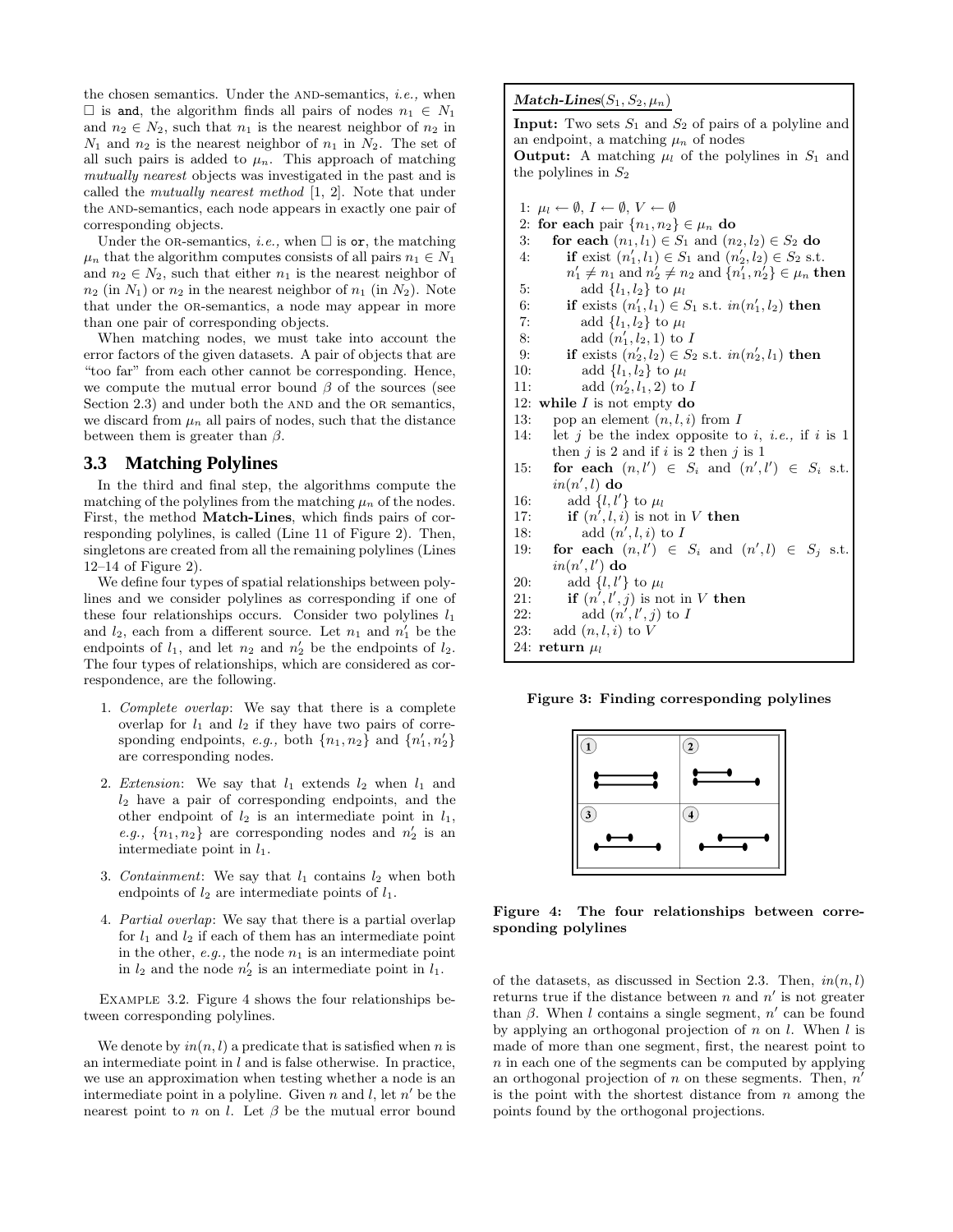the chosen semantics. Under the  $AND\text{-semantics}, i.e., when$  $\Box$  is and, the algorithm finds all pairs of nodes  $n_1 \in N_1$ and  $n_2 \in N_2$ , such that  $n_1$  is the nearest neighbor of  $n_2$  in  $N_1$  and  $n_2$  is the nearest neighbor of  $n_1$  in  $N_2$ . The set of all such pairs is added to  $\mu_n$ . This approach of matching mutually nearest objects was investigated in the past and is called the mutually nearest method [1, 2]. Note that under the AND-semantics, each node appears in exactly one pair of corresponding objects.

Under the OR-semantics, *i.e.*, when  $\Box$  is or, the matching  $\mu_n$  that the algorithm computes consists of all pairs  $n_1 \in N_1$ and  $n_2 \in N_2$ , such that either  $n_1$  is the nearest neighbor of  $n_2$  (in  $N_1$ ) or  $n_2$  in the nearest neighbor of  $n_1$  (in  $N_2$ ). Note that under the OR-semantics, a node may appear in more than one pair of corresponding objects.

When matching nodes, we must take into account the error factors of the given datasets. A pair of objects that are "too far" from each other cannot be corresponding. Hence, we compute the mutual error bound  $\beta$  of the sources (see Section 2.3) and under both the AND and the OR semantics, we discard from  $\mu_n$  all pairs of nodes, such that the distance between them is greater than  $\beta$ .

#### **3.3 Matching Polylines**

In the third and final step, the algorithms compute the matching of the polylines from the matching  $\mu_n$  of the nodes. First, the method Match-Lines, which finds pairs of corresponding polylines, is called (Line 11 of Figure 2). Then, singletons are created from all the remaining polylines (Lines 12–14 of Figure 2).

We define four types of spatial relationships between polylines and we consider polylines as corresponding if one of these four relationships occurs. Consider two polylines  $l_1$ and  $l_2$ , each from a different source. Let  $n_1$  and  $n'_1$  be the endpoints of  $l_1$ , and let  $n_2$  and  $n'_2$  be the endpoints of  $l_2$ . The four types of relationships, which are considered as correspondence, are the following.

- 1. Complete overlap: We say that there is a complete overlap for  $l_1$  and  $l_2$  if they have two pairs of corresponding endpoints, e.g., both  $\{n_1, n_2\}$  and  $\{n'_1, n'_2\}$ are corresponding nodes.
- 2. Extension: We say that  $l_1$  extends  $l_2$  when  $l_1$  and  $l_2$  have a pair of corresponding endpoints, and the other endpoint of  $l_2$  is an intermediate point in  $l_1$ , *e.g.*,  $\{n_1, n_2\}$  are corresponding nodes and  $n'_2$  is an intermediate point in  $l_1$ .
- 3. Containment: We say that  $l_1$  contains  $l_2$  when both endpoints of  $l_2$  are intermediate points of  $l_1$ .
- 4. Partial overlap: We say that there is a partial overlap for  $l_1$  and  $l_2$  if each of them has an intermediate point in the other, e.g., the node  $n_1$  is an intermediate point in  $l_2$  and the node  $n'_2$  is an intermediate point in  $l_1$ .

Example 3.2. Figure 4 shows the four relationships between corresponding polylines.

We denote by  $in(n, l)$  a predicate that is satisfied when n is an intermediate point in  $l$  and is false otherwise. In practice, we use an approximation when testing whether a node is an intermediate point in a polyline. Given  $n$  and  $l$ , let  $n'$  be the nearest point to n on l. Let  $\beta$  be the mutual error bound  $\textbf{Match-Lines}(S_1, S_2, \mu_n)$ 

**Input:** Two sets  $S_1$  and  $S_2$  of pairs of a polyline and an endpoint, a matching  $\mu_n$  of nodes **Output:** A matching  $\mu_l$  of the polylines in  $S_1$  and the polylines in  $S_2$ 

| 1: $\mu_l \leftarrow \emptyset$ , $I \leftarrow \emptyset$ , $V \leftarrow \emptyset$ |
|---------------------------------------------------------------------------------------|
| for each pair $\{n_1, n_2\} \in \mu_n$ do<br>2:                                       |
| for each $(n_1, l_1) \in S_1$ and $(n_2, l_2) \in S_2$ do<br>3:                       |
| if exist $(n'_1, l_1) \in S_1$ and $(n'_2, l_2) \in S_2$ s.t.<br>4:                   |
| $n'_1 \neq n_1$ and $n'_2 \neq n_2$ and $\{n'_1, n'_2\} \in \mu_n$ then               |
| add $\{l_1, l_2\}$ to $\mu_l$<br>5:                                                   |
| <b>if</b> exists $(n'_1, l_1) \in S_1$ s.t. $in(n'_1, l_2)$ then<br>6:                |
| add $\{l_1, l_2\}$ to $\mu_l$<br>7:                                                   |
| add $(n'_1, l_2, 1)$ to I<br>8:                                                       |
| if exists $(n'_2, l_2) \in S_2$ s.t. $in(n'_2, l_1)$ then<br>9:                       |
| add $\{l_1, l_2\}$ to $\mu_l$<br>10:                                                  |
| add $(n'_2, l_1, 2)$ to I<br>11:                                                      |
| 12: while $I$ is not empty do                                                         |
| 13:<br>pop an element $(n, l, i)$ from I                                              |
| let $j$ be the index opposite to $i$ , <i>i.e.</i> , if $i$ is 1<br>14:               |
| then $j$ is 2 and if $i$ is 2 then $j$ is 1                                           |
| for each $(n, l') \in S_i$ and $(n', l') \in S_i$ s.t.<br>15:                         |
| $in(n',l)$ do                                                                         |
| add $\{l, l'\}$ to $\mu_l$<br>16:                                                     |
| if $(n', l, i)$ is not in V then<br>17:                                               |
| add $(n', l, i)$ to I<br>18:                                                          |
| for each $(n, l') \in S_i$ and $(n', l) \in S_j$ s.t.<br>19:                          |
| $in(n',l')$ do                                                                        |
| add $\{l, l'\}$ to $\mu_l$<br>20:                                                     |
| if $(n', l', j)$ is not in V then<br>21:                                              |
| 22:<br>add $(n', l', j)$ to I                                                         |
| add $(n, l, i)$ to V<br>23:                                                           |
| 24:<br>return $\mu_l$                                                                 |
|                                                                                       |

Figure 3: Finding corresponding polylines



Figure 4: The four relationships between corresponding polylines

of the datasets, as discussed in Section 2.3. Then,  $in(n, l)$ returns true if the distance between  $n$  and  $n'$  is not greater than  $\beta$ . When l contains a single segment, n' can be found by applying an orthogonal projection of  $n$  on  $l$ . When  $l$  is made of more than one segment, first, the nearest point to n in each one of the segments can be computed by applying an orthogonal projection of  $n$  on these segments. Then,  $n'$ is the point with the shortest distance from  $n$  among the points found by the orthogonal projections.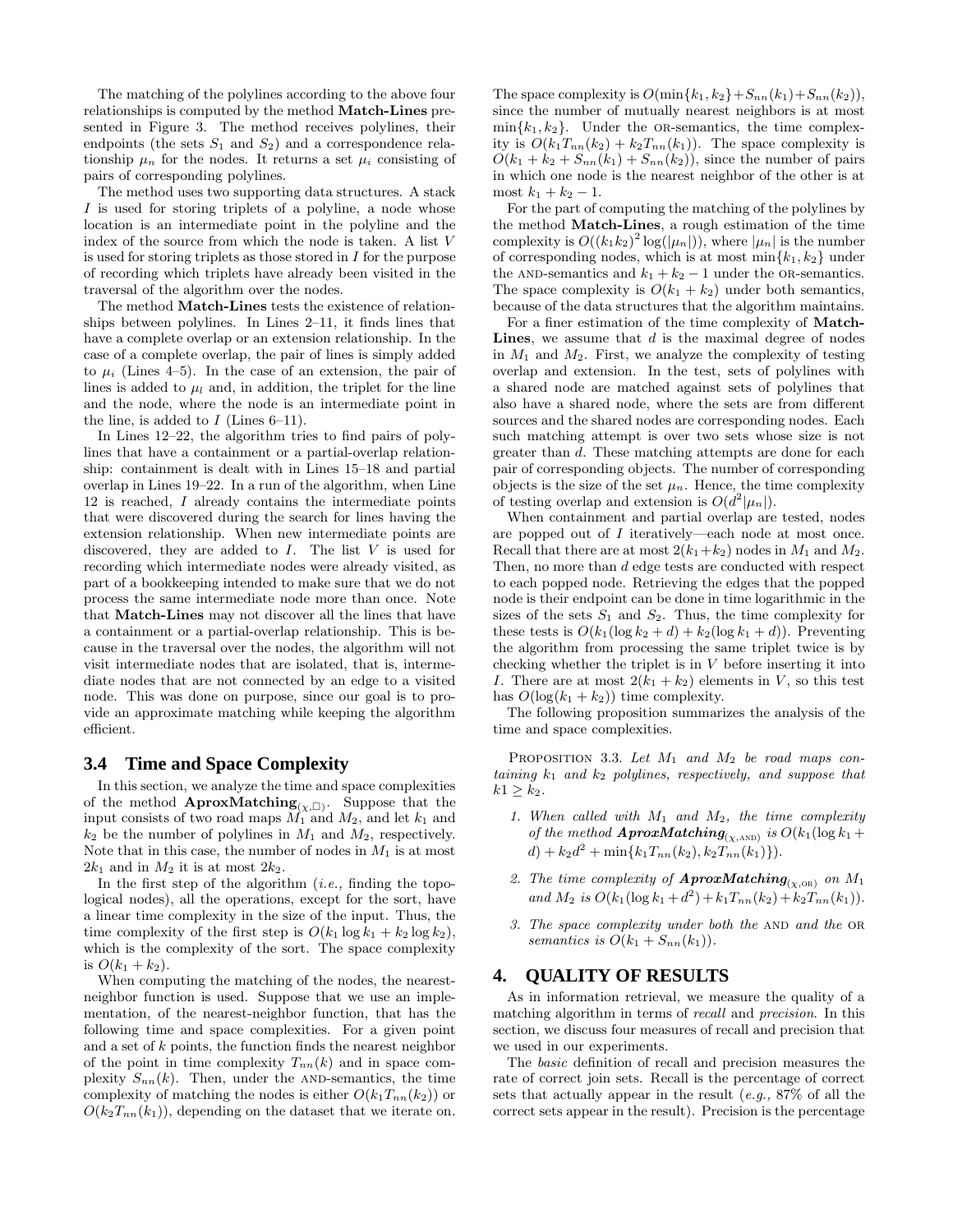The matching of the polylines according to the above four relationships is computed by the method Match-Lines presented in Figure 3. The method receives polylines, their endpoints (the sets  $S_1$  and  $S_2$ ) and a correspondence relationship  $\mu_n$  for the nodes. It returns a set  $\mu_i$  consisting of pairs of corresponding polylines.

The method uses two supporting data structures. A stack I is used for storing triplets of a polyline, a node whose location is an intermediate point in the polyline and the index of the source from which the node is taken. A list V is used for storing triplets as those stored in I for the purpose of recording which triplets have already been visited in the traversal of the algorithm over the nodes.

The method Match-Lines tests the existence of relationships between polylines. In Lines 2–11, it finds lines that have a complete overlap or an extension relationship. In the case of a complete overlap, the pair of lines is simply added to  $\mu_i$  (Lines 4–5). In the case of an extension, the pair of lines is added to  $\mu_l$  and, in addition, the triplet for the line and the node, where the node is an intermediate point in the line, is added to  $I$  (Lines 6–11).

In Lines 12–22, the algorithm tries to find pairs of polylines that have a containment or a partial-overlap relationship: containment is dealt with in Lines 15–18 and partial overlap in Lines 19–22. In a run of the algorithm, when Line 12 is reached, I already contains the intermediate points that were discovered during the search for lines having the extension relationship. When new intermediate points are discovered, they are added to  $I$ . The list  $V$  is used for recording which intermediate nodes were already visited, as part of a bookkeeping intended to make sure that we do not process the same intermediate node more than once. Note that Match-Lines may not discover all the lines that have a containment or a partial-overlap relationship. This is because in the traversal over the nodes, the algorithm will not visit intermediate nodes that are isolated, that is, intermediate nodes that are not connected by an edge to a visited node. This was done on purpose, since our goal is to provide an approximate matching while keeping the algorithm efficient.

## **3.4 Time and Space Complexity**

In this section, we analyze the time and space complexities of the method **AproxMatching**<sub> $(\chi,\Box)$ </sub>. Suppose that the input consists of two road maps  $\widetilde{M_1}$  and  $M_2$ , and let  $k_1$  and  $k_2$  be the number of polylines in  $M_1$  and  $M_2$ , respectively. Note that in this case, the number of nodes in  $M_1$  is at most  $2k_1$  and in  $M_2$  it is at most  $2k_2$ .

In the first step of the algorithm  $(i.e.,$  finding the topological nodes), all the operations, except for the sort, have a linear time complexity in the size of the input. Thus, the time complexity of the first step is  $O(k_1 \log k_1 + k_2 \log k_2)$ , which is the complexity of the sort. The space complexity is  $O(k_1 + k_2)$ .

When computing the matching of the nodes, the nearestneighbor function is used. Suppose that we use an implementation, of the nearest-neighbor function, that has the following time and space complexities. For a given point and a set of k points, the function finds the nearest neighbor of the point in time complexity  $T_{nn}(k)$  and in space complexity  $S_{nn}(k)$ . Then, under the AND-semantics, the time complexity of matching the nodes is either  $O(k_1T_{nn}(k_2))$  or  $O(k_2T_{nn}(k_1))$ , depending on the dataset that we iterate on. The space complexity is  $O(\min\{k_1, k_2\} + S_{nn}(k_1) + S_{nn}(k_2)),$ since the number of mutually nearest neighbors is at most  $\min\{k_1, k_2\}$ . Under the OR-semantics, the time complexity is  $O(k_1T_{nn}(k_2) + k_2T_{nn}(k_1))$ . The space complexity is  $O(k_1 + k_2 + S_{nn}(k_1) + S_{nn}(k_2))$ , since the number of pairs in which one node is the nearest neighbor of the other is at most  $k_1 + k_2 - 1$ .

For the part of computing the matching of the polylines by the method Match-Lines, a rough estimation of the time complexity is  $O((k_1k_2)^2 \log(|\mu_n|))$ , where  $|\mu_n|$  is the number of corresponding nodes, which is at most  $\min\{k_1, k_2\}$  under the AND-semantics and  $k_1 + k_2 - 1$  under the OR-semantics. The space complexity is  $O(k_1 + k_2)$  under both semantics, because of the data structures that the algorithm maintains.

For a finer estimation of the time complexity of Match-**Lines**, we assume that  $d$  is the maximal degree of nodes in  $M_1$  and  $M_2$ . First, we analyze the complexity of testing overlap and extension. In the test, sets of polylines with a shared node are matched against sets of polylines that also have a shared node, where the sets are from different sources and the shared nodes are corresponding nodes. Each such matching attempt is over two sets whose size is not greater than d. These matching attempts are done for each pair of corresponding objects. The number of corresponding objects is the size of the set  $\mu_n$ . Hence, the time complexity of testing overlap and extension is  $O(d^2|\mu_n|)$ .

When containment and partial overlap are tested, nodes are popped out of I iteratively—each node at most once. Recall that there are at most  $2(k_1+k_2)$  nodes in  $M_1$  and  $M_2$ . Then, no more than d edge tests are conducted with respect to each popped node. Retrieving the edges that the popped node is their endpoint can be done in time logarithmic in the sizes of the sets  $S_1$  and  $S_2$ . Thus, the time complexity for these tests is  $O(k_1(\log k_2 + d) + k_2(\log k_1 + d))$ . Preventing the algorithm from processing the same triplet twice is by checking whether the triplet is in  $V$  before inserting it into I. There are at most  $2(k_1 + k_2)$  elements in V, so this test has  $O(\log(k_1 + k_2))$  time complexity.

The following proposition summarizes the analysis of the time and space complexities.

PROPOSITION 3.3. Let  $M_1$  and  $M_2$  be road maps containing  $k_1$  and  $k_2$  polylines, respectively, and suppose that  $k1 \geq k_2$ .

- 1. When called with  $M_1$  and  $M_2$ , the time complexity of the method  $\boldsymbol{A}$ prox $\boldsymbol{Matching}_{(\chi,\text{AND})}$  is  $O(k_1(\log k_1 +$  $d) + k_2 d^2 + \min\{k_1 T_{nn}(k_2), k_2 T_{nn}(k_1)\}.$
- 2. The time complexity of  $AproxMatching_{(\chi, \text{OR})}$  on  $M_1$ and  $M_2$  is  $O(k_1(\log k_1 + d^2) + k_1T_{nn}(k_2) + k_2T_{nn}(k_1)).$
- 3. The space complexity under both the AND and the OR semantics is  $O(k_1 + S_{nn}(k_1)).$

# **4. QUALITY OF RESULTS**

As in information retrieval, we measure the quality of a matching algorithm in terms of recall and precision. In this section, we discuss four measures of recall and precision that we used in our experiments.

The basic definition of recall and precision measures the rate of correct join sets. Recall is the percentage of correct sets that actually appear in the result  $(e.g., 87\%$  of all the correct sets appear in the result). Precision is the percentage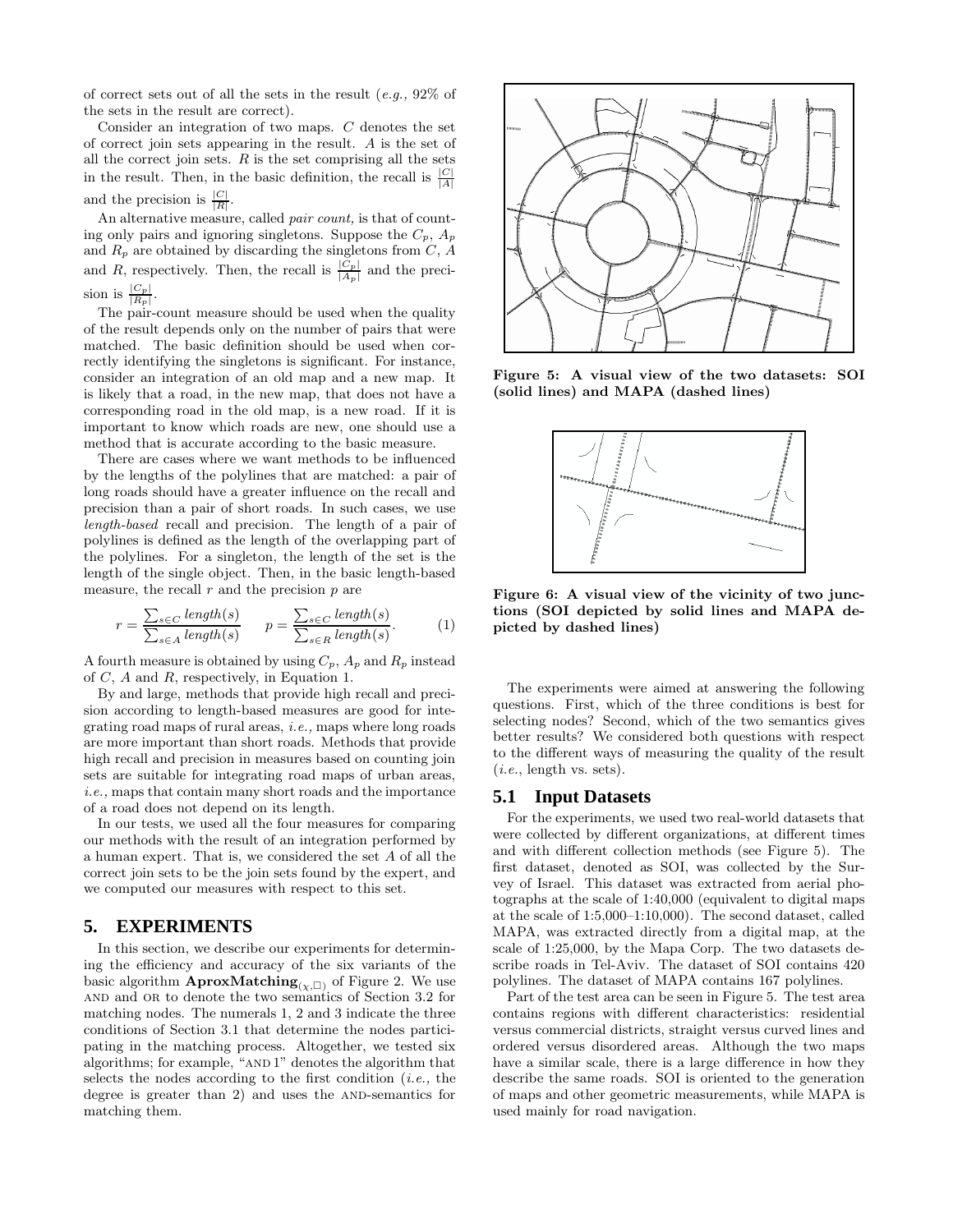of correct sets out of all the sets in the result (e.g., 92% of the sets in the result are correct).

Consider an integration of two maps. C denotes the set of correct join sets appearing in the result. A is the set of all the correct join sets.  $R$  is the set comprising all the sets in the result. Then, in the basic definition, the recall is  $\frac{|C|}{|A|}$ and the precision is  $\frac{|C|}{|R|}$ .

An alternative measure, called *pair count*, is that of counting only pairs and ignoring singletons. Suppose the  $C_p$ ,  $A_p$ and  $R_p$  are obtained by discarding the singletons from  $C, A$ and R, respectively. Then, the recall is  $\frac{|C_p|}{|A_p|}$  and the precision is  $\frac{|C_p|}{|R_p|}$ .

The pair-count measure should be used when the quality of the result depends only on the number of pairs that were matched. The basic definition should be used when correctly identifying the singletons is significant. For instance, consider an integration of an old map and a new map. It is likely that a road, in the new map, that does not have a corresponding road in the old map, is a new road. If it is important to know which roads are new, one should use a method that is accurate according to the basic measure.

There are cases where we want methods to be influenced by the lengths of the polylines that are matched: a pair of long roads should have a greater influence on the recall and precision than a pair of short roads. In such cases, we use length-based recall and precision. The length of a pair of polylines is defined as the length of the overlapping part of the polylines. For a singleton, the length of the set is the length of the single object. Then, in the basic length-based measure, the recall  $r$  and the precision  $p$  are

$$
r = \frac{\sum_{s \in C} length(s)}{\sum_{s \in A} length(s)} \qquad p = \frac{\sum_{s \in C} length(s)}{\sum_{s \in R} length(s)}.
$$
 (1)

A fourth measure is obtained by using  $C_p$ ,  $A_p$  and  $R_p$  instead of C, A and R, respectively, in Equation 1.

By and large, methods that provide high recall and precision according to length-based measures are good for integrating road maps of rural areas, i.e., maps where long roads are more important than short roads. Methods that provide high recall and precision in measures based on counting join sets are suitable for integrating road maps of urban areas, i.e., maps that contain many short roads and the importance of a road does not depend on its length.

In our tests, we used all the four measures for comparing our methods with the result of an integration performed by a human expert. That is, we considered the set A of all the correct join sets to be the join sets found by the expert, and we computed our measures with respect to this set.

#### **5. EXPERIMENTS**

In this section, we describe our experiments for determining the efficiency and accuracy of the six variants of the basic algorithm  $\text{AproxMatching}_{(\chi,\Box)}$  of Figure 2. We use and and or to denote the two semantics of Section 3.2 for matching nodes. The numerals 1, 2 and 3 indicate the three conditions of Section 3.1 that determine the nodes participating in the matching process. Altogether, we tested six algorithms; for example, "AND 1" denotes the algorithm that selects the nodes according to the first condition (i.e., the degree is greater than 2) and uses the AND-semantics for matching them.



Figure 5: A visual view of the two datasets: SOI (solid lines) and MAPA (dashed lines)



Figure 6: A visual view of the vicinity of two junctions (SOI depicted by solid lines and MAPA depicted by dashed lines)

The experiments were aimed at answering the following questions. First, which of the three conditions is best for selecting nodes? Second, which of the two semantics gives better results? We considered both questions with respect to the different ways of measuring the quality of the result (i.e., length vs. sets).

#### **5.1 Input Datasets**

For the experiments, we used two real-world datasets that were collected by different organizations, at different times and with different collection methods (see Figure 5). The first dataset, denoted as SOI, was collected by the Survey of Israel. This dataset was extracted from aerial photographs at the scale of 1:40,000 (equivalent to digital maps at the scale of 1:5,000–1:10,000). The second dataset, called MAPA, was extracted directly from a digital map, at the scale of 1:25,000, by the Mapa Corp. The two datasets describe roads in Tel-Aviv. The dataset of SOI contains 420 polylines. The dataset of MAPA contains 167 polylines.

Part of the test area can be seen in Figure 5. The test area contains regions with different characteristics: residential versus commercial districts, straight versus curved lines and ordered versus disordered areas. Although the two maps have a similar scale, there is a large difference in how they describe the same roads. SOI is oriented to the generation of maps and other geometric measurements, while MAPA is used mainly for road navigation.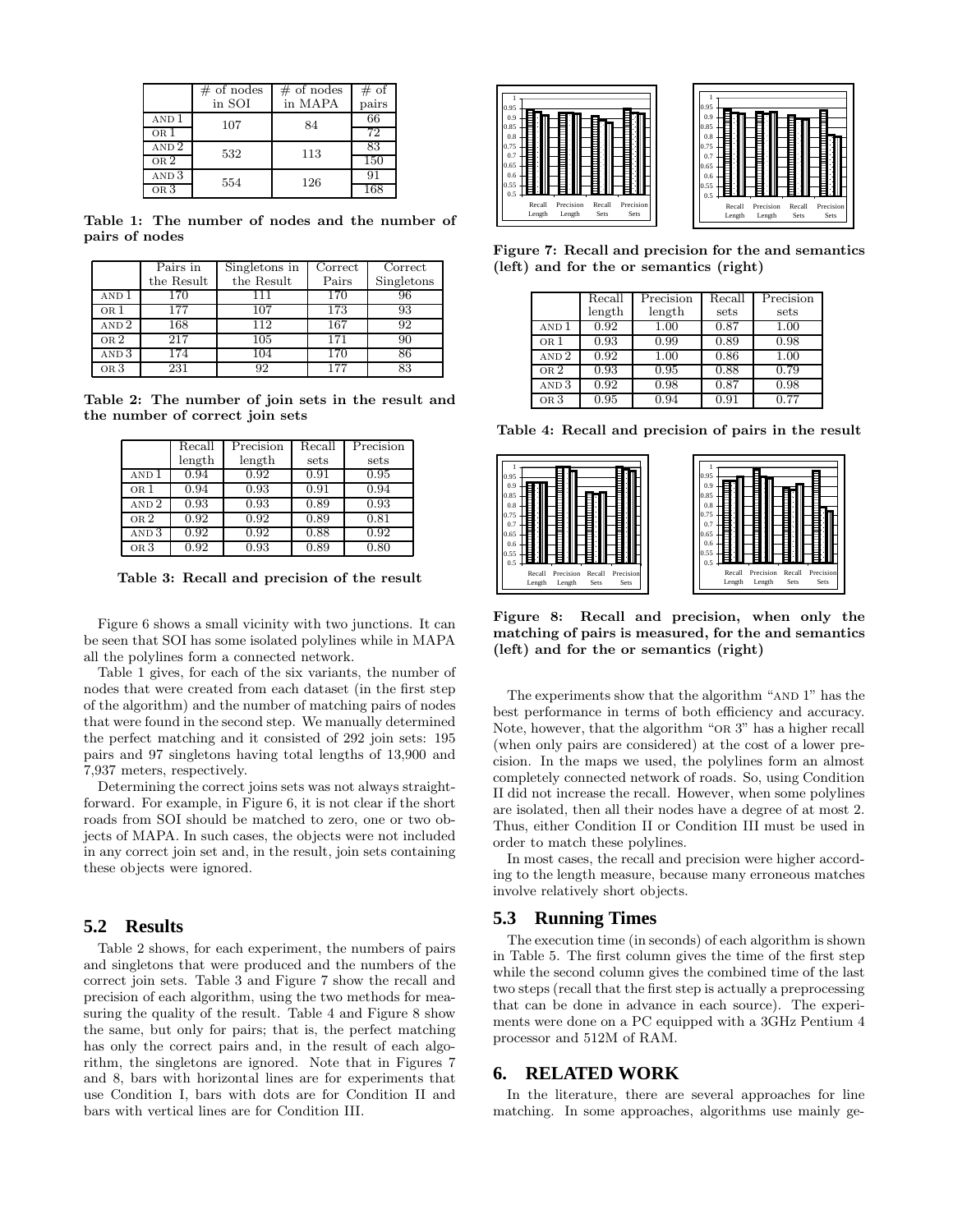|                  | # of nodes<br>in SOI | # of nodes<br>in MAPA | # of<br>pairs |
|------------------|----------------------|-----------------------|---------------|
| AND <sup>1</sup> | 107                  | 84                    | 66            |
| OR <sub>1</sub>  |                      |                       | 72            |
| AND <sub>2</sub> | 532                  | 113                   | 83            |
| OR2              |                      |                       | 150           |
| AND3             | 554                  | 126                   | 91            |
| OR3              |                      |                       | 168           |

Table 1: The number of nodes and the number of pairs of nodes

|                  | Pairs in   | Singletons in | Correct | Correct    |
|------------------|------------|---------------|---------|------------|
|                  | the Result | the Result    | Pairs   | Singletons |
| AND 1            | 170        | 111           | 170     | 96         |
| OR <sub>1</sub>  | 177        | $107\,$       | 173     | 93         |
| AND <sub>2</sub> | 168        | 112           | 167     | 92         |
| OR 2             | 217        | 105           | 171     | 90         |
| AND3             | 174        | 104           | 170     | 86         |
| OR <sub>3</sub>  | 231        | 92            | 177     | 83         |

Table 2: The number of join sets in the result and the number of correct join sets

|                  | Recall | Precision | Recall | Precision |
|------------------|--------|-----------|--------|-----------|
|                  | length | length    | sets   | sets      |
| AND <sup>1</sup> | 0.94   | 0.92      | 0.91   | 0.95      |
| OR <sub>1</sub>  | 0.94   | 0.93      | 0.91   | 0.94      |
| AND 2            | 0.93   | 0.93      | 0.89   | 0.93      |
| OR 2             | 0.92   | 0.92      | 0.89   | 0.81      |
| AND3             | 0.92   | 0.92      | 0.88   | 0.92      |
| OR <sub>3</sub>  | 0.92   | 0.93      | 0.89   | 0.80      |

Table 3: Recall and precision of the result

Figure 6 shows a small vicinity with two junctions. It can be seen that SOI has some isolated polylines while in MAPA all the polylines form a connected network.

Table 1 gives, for each of the six variants, the number of nodes that were created from each dataset (in the first step of the algorithm) and the number of matching pairs of nodes that were found in the second step. We manually determined the perfect matching and it consisted of 292 join sets: 195 pairs and 97 singletons having total lengths of 13,900 and 7,937 meters, respectively.

Determining the correct joins sets was not always straightforward. For example, in Figure 6, it is not clear if the short roads from SOI should be matched to zero, one or two objects of MAPA. In such cases, the objects were not included in any correct join set and, in the result, join sets containing these objects were ignored.

## **5.2 Results**

Table 2 shows, for each experiment, the numbers of pairs and singletons that were produced and the numbers of the correct join sets. Table 3 and Figure 7 show the recall and precision of each algorithm, using the two methods for measuring the quality of the result. Table 4 and Figure 8 show the same, but only for pairs; that is, the perfect matching has only the correct pairs and, in the result of each algorithm, the singletons are ignored. Note that in Figures 7 and 8, bars with horizontal lines are for experiments that use Condition I, bars with dots are for Condition II and bars with vertical lines are for Condition III.



Figure 7: Recall and precision for the and semantics (left) and for the or semantics (right)

|                  | $_{\rm Recall}$   | Precision | $_{\rm Recall}$ | Precision |
|------------------|-------------------|-----------|-----------------|-----------|
|                  | length            | length    | sets            | sets      |
| AND <sup>1</sup> | 0.92              | 1.00      | 0.87            | 1.00      |
| OR <sub>1</sub>  | 0.93              | 0.99      | 0.89            | 0.98      |
| AND2             | 0.92              | 1.00      | 0.86            | 1.00      |
| OR 2             | 0.93              | 0.95      | 0.88            | 0.79      |
| AND3             | $\overline{0.92}$ | 0.98      | 0.87            | 0.98      |
| OR <sub>3</sub>  | 0.95              | 0.94      | 0.91            | 0.77      |

Table 4: Recall and precision of pairs in the result



Figure 8: Recall and precision, when only the matching of pairs is measured, for the and semantics (left) and for the or semantics (right)

The experiments show that the algorithm "AND 1" has the best performance in terms of both efficiency and accuracy. Note, however, that the algorithm "or 3" has a higher recall (when only pairs are considered) at the cost of a lower precision. In the maps we used, the polylines form an almost completely connected network of roads. So, using Condition II did not increase the recall. However, when some polylines are isolated, then all their nodes have a degree of at most 2. Thus, either Condition II or Condition III must be used in order to match these polylines.

In most cases, the recall and precision were higher according to the length measure, because many erroneous matches involve relatively short objects.

#### **5.3 Running Times**

The execution time (in seconds) of each algorithm is shown in Table 5. The first column gives the time of the first step while the second column gives the combined time of the last two steps (recall that the first step is actually a preprocessing that can be done in advance in each source). The experiments were done on a PC equipped with a 3GHz Pentium 4 processor and 512M of RAM.

#### **6. RELATED WORK**

In the literature, there are several approaches for line matching. In some approaches, algorithms use mainly ge-